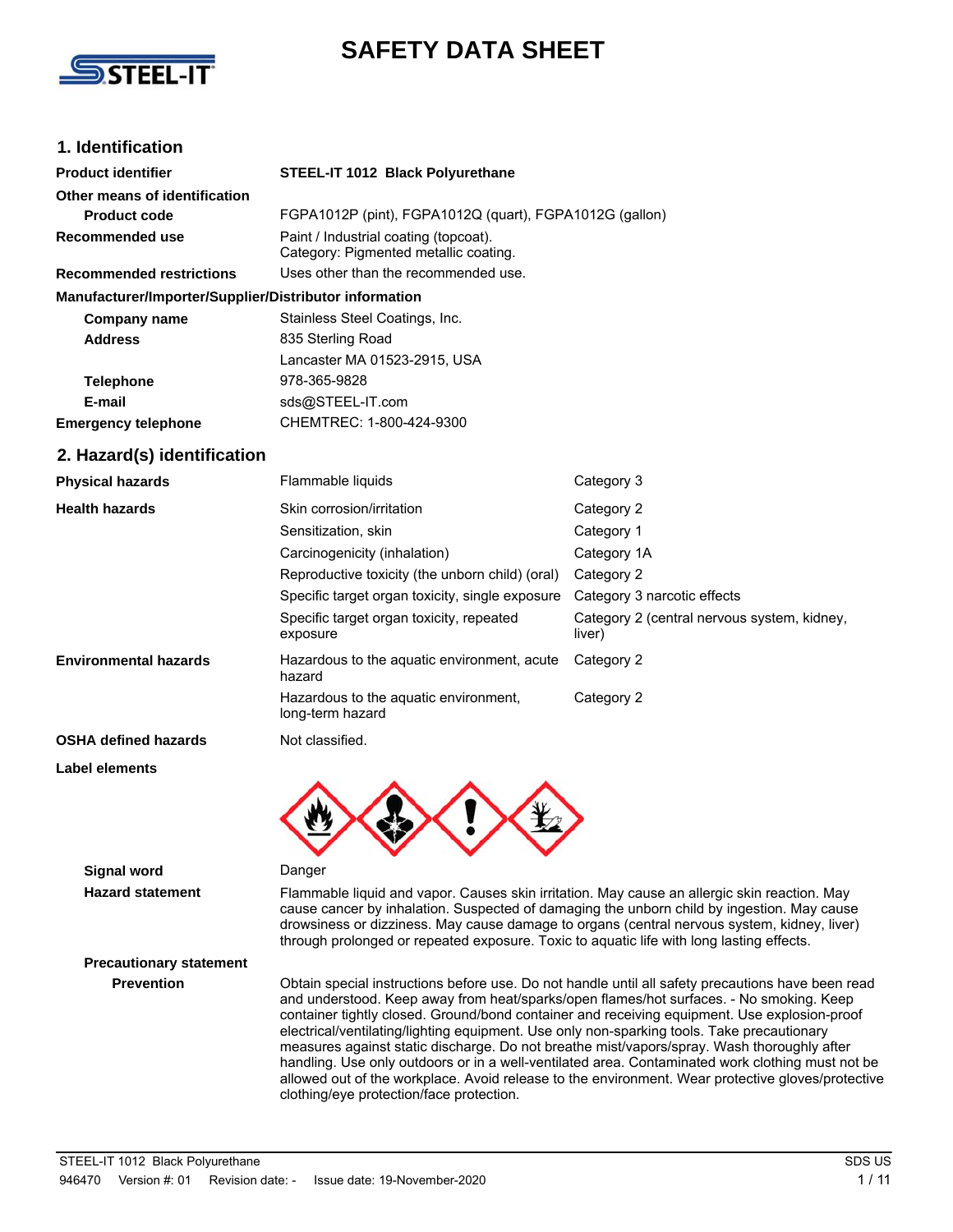

## **SAFETY DATA SHEET**

### **1. Identification**

| <b>Product identifier</b>                              | STEEL-IT 1012 Black Polyurethane                                               |
|--------------------------------------------------------|--------------------------------------------------------------------------------|
| Other means of identification                          |                                                                                |
| <b>Product code</b>                                    | FGPA1012P (pint), FGPA1012Q (quart), FGPA1012G (qallon)                        |
| Recommended use                                        | Paint / Industrial coating (topcoat).<br>Category: Pigmented metallic coating. |
| <b>Recommended restrictions</b>                        | Uses other than the recommended use.                                           |
| Manufacturer/Importer/Supplier/Distributor information |                                                                                |
| Company name                                           | Stainless Steel Coatings, Inc.                                                 |
| <b>Address</b>                                         | 835 Sterling Road                                                              |
|                                                        | Lancaster MA 01523-2915, USA                                                   |
| <b>Telephone</b>                                       | 978-365-9828                                                                   |
| E-mail                                                 | sds@STEEL-IT.com                                                               |
| <b>Emergency telephone</b>                             | CHEMTREC: 1-800-424-9300                                                       |

#### **2. Hazard(s) identification**

| <b>Physical hazards</b>      | Flammable liquids                                         | Category 3                                            |
|------------------------------|-----------------------------------------------------------|-------------------------------------------------------|
| <b>Health hazards</b>        | Skin corrosion/irritation                                 | Category 2                                            |
|                              | Sensitization, skin                                       | Category 1                                            |
|                              | Carcinogenicity (inhalation)                              | Category 1A                                           |
|                              | Reproductive toxicity (the unborn child) (oral)           | Category 2                                            |
|                              | Specific target organ toxicity, single exposure           | Category 3 narcotic effects                           |
|                              | Specific target organ toxicity, repeated<br>exposure      | Category 2 (central nervous system, kidney,<br>liver) |
| <b>Environmental hazards</b> | Hazardous to the aguatic environment, acute<br>hazard     | Category 2                                            |
|                              | Hazardous to the aguatic environment.<br>long-term hazard | Category 2                                            |
| <b>OSHA defined hazards</b>  | Not classified.                                           |                                                       |

**Label elements**



### **Signal word** Danger

**Hazard statement** Flammable liquid and vapor. Causes skin irritation. May cause an allergic skin reaction. May cause cancer by inhalation. Suspected of damaging the unborn child by ingestion. May cause drowsiness or dizziness. May cause damage to organs (central nervous system, kidney, liver) through prolonged or repeated exposure. Toxic to aquatic life with long lasting effects.

# **Precautionary statement**

**Prevention** Obtain special instructions before use. Do not handle until all safety precautions have been read and understood. Keep away from heat/sparks/open flames/hot surfaces. - No smoking. Keep container tightly closed. Ground/bond container and receiving equipment. Use explosion-proof electrical/ventilating/lighting equipment. Use only non-sparking tools. Take precautionary measures against static discharge. Do not breathe mist/vapors/spray. Wash thoroughly after handling. Use only outdoors or in a well-ventilated area. Contaminated work clothing must not be allowed out of the workplace. Avoid release to the environment. Wear protective gloves/protective clothing/eye protection/face protection.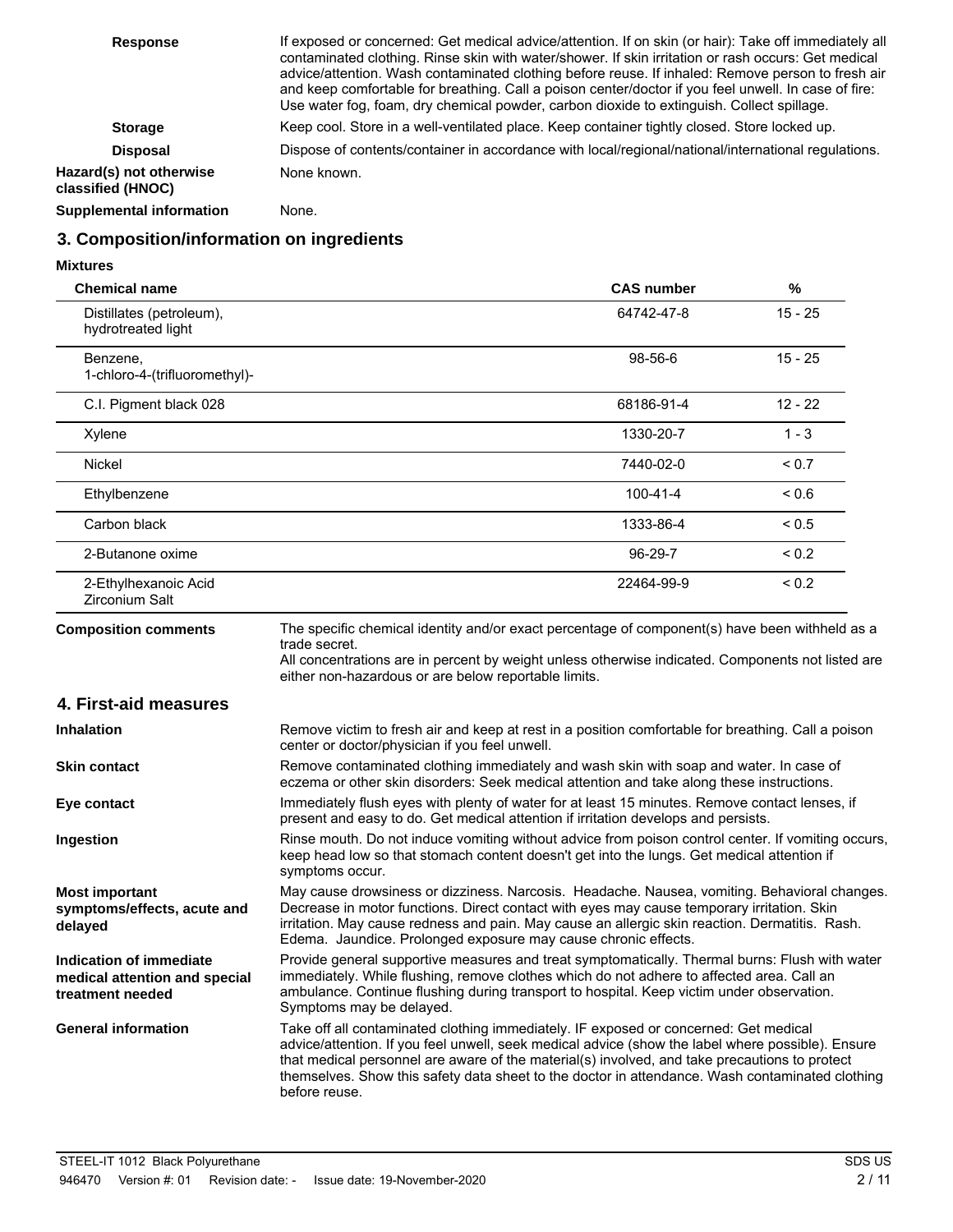| <b>Response</b>                              | If exposed or concerned: Get medical advice/attention. If on skin (or hair): Take off immediately all<br>contaminated clothing. Rinse skin with water/shower. If skin irritation or rash occurs: Get medical<br>advice/attention. Wash contaminated clothing before reuse. If inhaled: Remove person to fresh air<br>and keep comfortable for breathing. Call a poison center/doctor if you feel unwell. In case of fire:<br>Use water fog, foam, dry chemical powder, carbon dioxide to extinguish. Collect spillage. |
|----------------------------------------------|------------------------------------------------------------------------------------------------------------------------------------------------------------------------------------------------------------------------------------------------------------------------------------------------------------------------------------------------------------------------------------------------------------------------------------------------------------------------------------------------------------------------|
| <b>Storage</b>                               | Keep cool. Store in a well-ventilated place. Keep container tightly closed. Store locked up.                                                                                                                                                                                                                                                                                                                                                                                                                           |
| <b>Disposal</b>                              | Dispose of contents/container in accordance with local/regional/national/international regulations.                                                                                                                                                                                                                                                                                                                                                                                                                    |
| Hazard(s) not otherwise<br>classified (HNOC) | None known.                                                                                                                                                                                                                                                                                                                                                                                                                                                                                                            |
| <b>Supplemental information</b>              | None.                                                                                                                                                                                                                                                                                                                                                                                                                                                                                                                  |

### **3. Composition/information on ingredients**

#### **Mixtures**

| <b>Chemical name</b>                                                         |                                                                                                                                                                                                                                                                                                                                                                                                                | <b>CAS number</b> | %          |
|------------------------------------------------------------------------------|----------------------------------------------------------------------------------------------------------------------------------------------------------------------------------------------------------------------------------------------------------------------------------------------------------------------------------------------------------------------------------------------------------------|-------------------|------------|
| Distillates (petroleum),<br>hydrotreated light                               |                                                                                                                                                                                                                                                                                                                                                                                                                | 64742-47-8        | $15 - 25$  |
| Benzene,<br>1-chloro-4-(trifluoromethyl)-                                    |                                                                                                                                                                                                                                                                                                                                                                                                                | 98-56-6           | $15 - 25$  |
| C.I. Pigment black 028                                                       |                                                                                                                                                                                                                                                                                                                                                                                                                | 68186-91-4        | $12 - 22$  |
| Xylene                                                                       |                                                                                                                                                                                                                                                                                                                                                                                                                | 1330-20-7         | $1 - 3$    |
| Nickel                                                                       |                                                                                                                                                                                                                                                                                                                                                                                                                | 7440-02-0         | ${}_{0.7}$ |
| Ethylbenzene                                                                 |                                                                                                                                                                                                                                                                                                                                                                                                                | $100 - 41 - 4$    | 0.6        |
| Carbon black                                                                 |                                                                                                                                                                                                                                                                                                                                                                                                                | 1333-86-4         | ${}_{0.5}$ |
| 2-Butanone oxime                                                             |                                                                                                                                                                                                                                                                                                                                                                                                                | 96-29-7           | ${}_{0.2}$ |
| 2-Ethylhexanoic Acid<br>Zirconium Salt                                       |                                                                                                                                                                                                                                                                                                                                                                                                                | 22464-99-9        | ${}_{0.2}$ |
| <b>Composition comments</b>                                                  | The specific chemical identity and/or exact percentage of component(s) have been withheld as a<br>trade secret.<br>All concentrations are in percent by weight unless otherwise indicated. Components not listed are<br>either non-hazardous or are below reportable limits.                                                                                                                                   |                   |            |
| 4. First-aid measures                                                        |                                                                                                                                                                                                                                                                                                                                                                                                                |                   |            |
| Inhalation                                                                   | Remove victim to fresh air and keep at rest in a position comfortable for breathing. Call a poison<br>center or doctor/physician if you feel unwell.                                                                                                                                                                                                                                                           |                   |            |
| <b>Skin contact</b>                                                          | Remove contaminated clothing immediately and wash skin with soap and water. In case of<br>eczema or other skin disorders: Seek medical attention and take along these instructions.                                                                                                                                                                                                                            |                   |            |
| Eye contact                                                                  | Immediately flush eyes with plenty of water for at least 15 minutes. Remove contact lenses, if<br>present and easy to do. Get medical attention if irritation develops and persists.                                                                                                                                                                                                                           |                   |            |
| Ingestion                                                                    | Rinse mouth. Do not induce vomiting without advice from poison control center. If vomiting occurs,<br>keep head low so that stomach content doesn't get into the lungs. Get medical attention if<br>symptoms occur.                                                                                                                                                                                            |                   |            |
| <b>Most important</b><br>symptoms/effects, acute and<br>delayed              | May cause drowsiness or dizziness. Narcosis. Headache. Nausea, vomiting. Behavioral changes.<br>Decrease in motor functions. Direct contact with eyes may cause temporary irritation. Skin<br>irritation. May cause redness and pain. May cause an allergic skin reaction. Dermatitis. Rash.<br>Edema. Jaundice. Prolonged exposure may cause chronic effects.                                                 |                   |            |
| Indication of immediate<br>medical attention and special<br>treatment needed | Provide general supportive measures and treat symptomatically. Thermal burns: Flush with water<br>immediately. While flushing, remove clothes which do not adhere to affected area. Call an<br>ambulance. Continue flushing during transport to hospital. Keep victim under observation.<br>Symptoms may be delayed.                                                                                           |                   |            |
| <b>General information</b>                                                   | Take off all contaminated clothing immediately. IF exposed or concerned: Get medical<br>advice/attention. If you feel unwell, seek medical advice (show the label where possible). Ensure<br>that medical personnel are aware of the material(s) involved, and take precautions to protect<br>themselves. Show this safety data sheet to the doctor in attendance. Wash contaminated clothing<br>before reuse. |                   |            |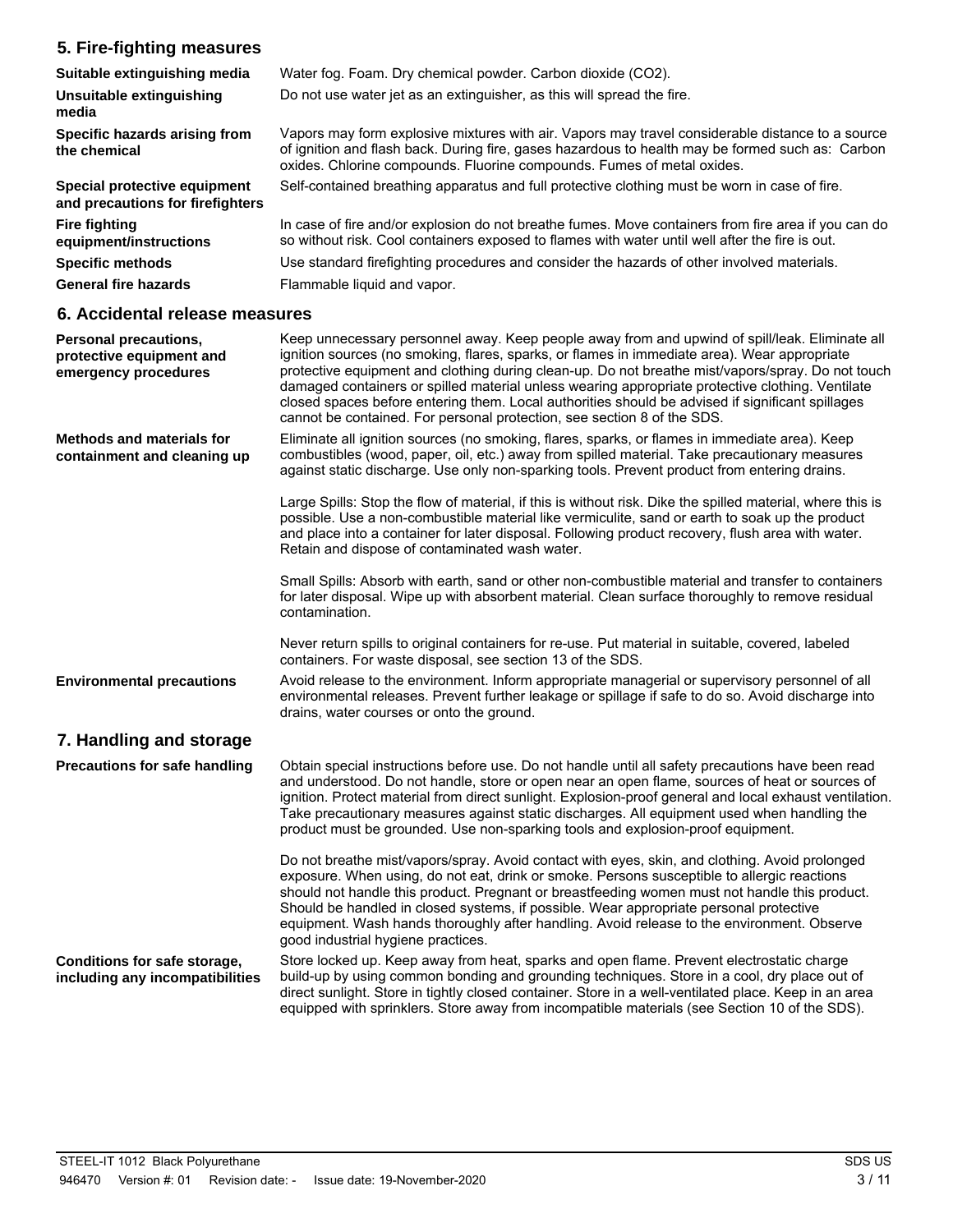### **5. Fire-fighting measures**

| Suitable extinguishing media                                     | Water fog. Foam. Dry chemical powder. Carbon dioxide (CO2).                                                                                                                                                                                                                    |
|------------------------------------------------------------------|--------------------------------------------------------------------------------------------------------------------------------------------------------------------------------------------------------------------------------------------------------------------------------|
| <b>Unsuitable extinguishing</b><br>media                         | Do not use water jet as an extinguisher, as this will spread the fire.                                                                                                                                                                                                         |
| Specific hazards arising from<br>the chemical                    | Vapors may form explosive mixtures with air. Vapors may travel considerable distance to a source<br>of ignition and flash back. During fire, gases hazardous to health may be formed such as: Carbon<br>oxides. Chlorine compounds. Fluorine compounds. Fumes of metal oxides. |
| Special protective equipment<br>and precautions for firefighters | Self-contained breathing apparatus and full protective clothing must be worn in case of fire.                                                                                                                                                                                  |
| <b>Fire fighting</b><br>equipment/instructions                   | In case of fire and/or explosion do not breathe fumes. Move containers from fire area if you can do<br>so without risk. Cool containers exposed to flames with water until well after the fire is out.                                                                         |
| <b>Specific methods</b>                                          | Use standard firefighting procedures and consider the hazards of other involved materials.                                                                                                                                                                                     |
| <b>General fire hazards</b>                                      | Flammable liquid and vapor.                                                                                                                                                                                                                                                    |

### **6. Accidental release measures**

| <b>Personal precautions,</b><br>protective equipment and<br>emergency procedures | Keep unnecessary personnel away. Keep people away from and upwind of spill/leak. Eliminate all<br>ignition sources (no smoking, flares, sparks, or flames in immediate area). Wear appropriate<br>protective equipment and clothing during clean-up. Do not breathe mist/vapors/spray. Do not touch<br>damaged containers or spilled material unless wearing appropriate protective clothing. Ventilate<br>closed spaces before entering them. Local authorities should be advised if significant spillages<br>cannot be contained. For personal protection, see section 8 of the SDS. |
|----------------------------------------------------------------------------------|----------------------------------------------------------------------------------------------------------------------------------------------------------------------------------------------------------------------------------------------------------------------------------------------------------------------------------------------------------------------------------------------------------------------------------------------------------------------------------------------------------------------------------------------------------------------------------------|
| <b>Methods and materials for</b><br>containment and cleaning up                  | Eliminate all ignition sources (no smoking, flares, sparks, or flames in immediate area). Keep<br>combustibles (wood, paper, oil, etc.) away from spilled material. Take precautionary measures<br>against static discharge. Use only non-sparking tools. Prevent product from entering drains.                                                                                                                                                                                                                                                                                        |
|                                                                                  | Large Spills: Stop the flow of material, if this is without risk. Dike the spilled material, where this is<br>possible. Use a non-combustible material like vermiculite, sand or earth to soak up the product<br>and place into a container for later disposal. Following product recovery, flush area with water.<br>Retain and dispose of contaminated wash water.                                                                                                                                                                                                                   |
|                                                                                  | Small Spills: Absorb with earth, sand or other non-combustible material and transfer to containers<br>for later disposal. Wipe up with absorbent material. Clean surface thoroughly to remove residual<br>contamination.                                                                                                                                                                                                                                                                                                                                                               |
|                                                                                  | Never return spills to original containers for re-use. Put material in suitable, covered, labeled<br>containers. For waste disposal, see section 13 of the SDS.                                                                                                                                                                                                                                                                                                                                                                                                                        |
| <b>Environmental precautions</b>                                                 | Avoid release to the environment. Inform appropriate managerial or supervisory personnel of all<br>environmental releases. Prevent further leakage or spillage if safe to do so. Avoid discharge into<br>drains, water courses or onto the ground.                                                                                                                                                                                                                                                                                                                                     |
| 7. Handling and storage                                                          |                                                                                                                                                                                                                                                                                                                                                                                                                                                                                                                                                                                        |
| <b>Precautions for safe handling</b>                                             | Obtain special instructions before use. Do not handle until all safety precautions have been read<br>and understood. Do not handle, store or open near an open flame, sources of heat or sources of<br>ignition. Protect material from direct sunlight. Explosion-proof general and local exhaust ventilation.<br>Take precautionary measures against static discharges. All equipment used when handling the<br>product must be grounded. Use non-sparking tools and explosion-proof equipment.                                                                                       |
|                                                                                  | Do not breathe mist/vapors/spray. Avoid contact with eyes, skin, and clothing. Avoid prolonged<br>exposure. When using, do not eat, drink or smoke. Persons susceptible to allergic reactions<br>should not handle this product. Pregnant or breastfeeding women must not handle this product.<br>Should be handled in closed systems, if possible. Wear appropriate personal protective<br>equipment. Wash hands thoroughly after handling. Avoid release to the environment. Observe<br>good industrial hygiene practices.                                                           |
| <b>Conditions for safe storage,</b><br>including any incompatibilities           | Store locked up. Keep away from heat, sparks and open flame. Prevent electrostatic charge<br>build-up by using common bonding and grounding techniques. Store in a cool, dry place out of<br>direct sunlight. Store in tightly closed container. Store in a well-ventilated place. Keep in an area<br>equipped with sprinklers. Store away from incompatible materials (see Section 10 of the SDS).                                                                                                                                                                                    |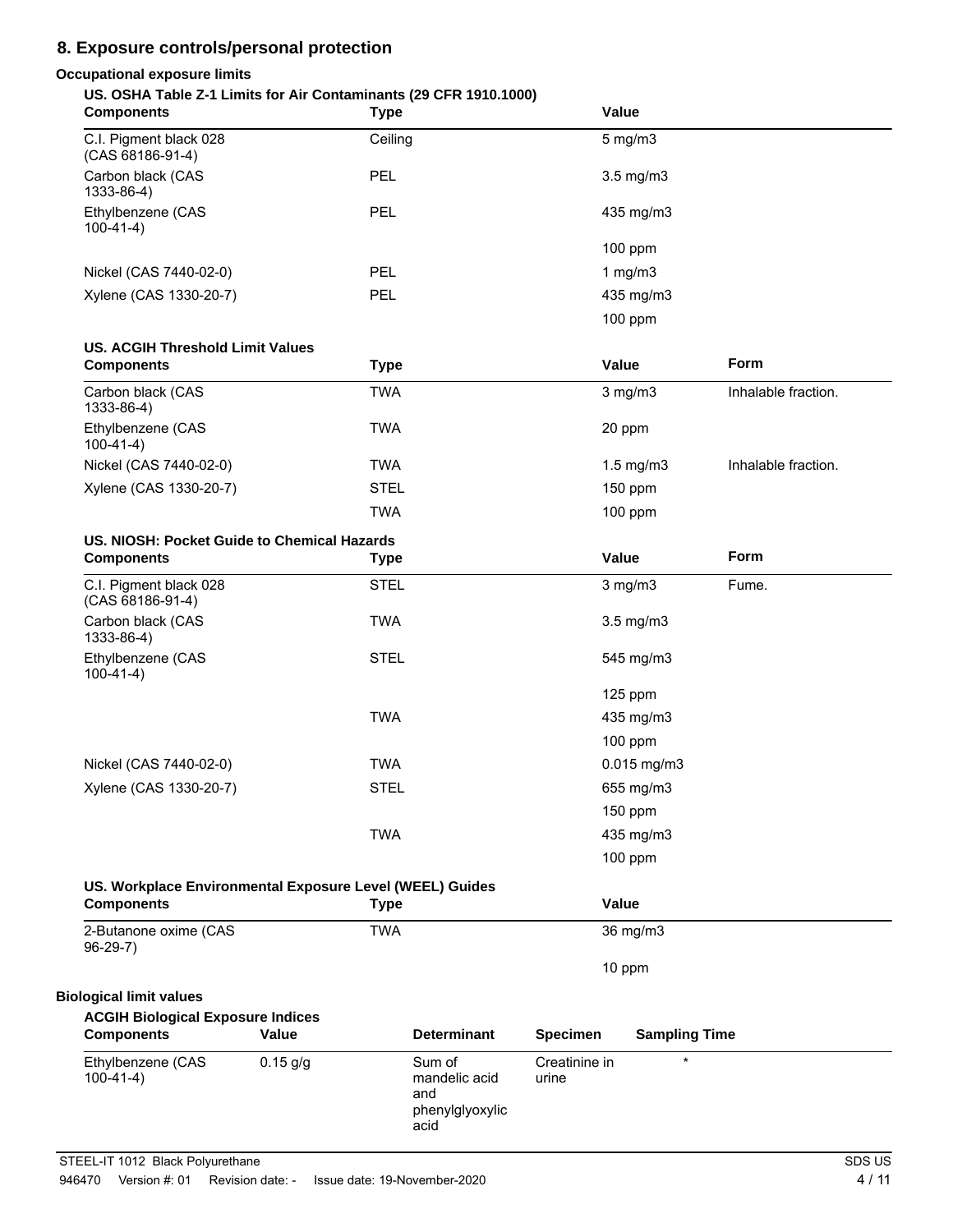### **8. Exposure controls/personal protection**

### **Occupational exposure limits**

### **US. OSHA Table Z-1 Limits for Air Contaminants (29 CFR 1910.1000)**

| <b>Components</b>                                                             |            | Type        |                                                           |                        | Value                |                     |
|-------------------------------------------------------------------------------|------------|-------------|-----------------------------------------------------------|------------------------|----------------------|---------------------|
| C.I. Pigment black 028<br>(CAS 68186-91-4)                                    |            | Ceiling     |                                                           |                        | $5$ mg/m $3$         |                     |
| Carbon black (CAS<br>1333-86-4)                                               |            | <b>PEL</b>  |                                                           |                        | 3.5 mg/m3            |                     |
| Ethylbenzene (CAS<br>$100-41-4)$                                              |            | <b>PEL</b>  |                                                           |                        | 435 mg/m3            |                     |
|                                                                               |            |             |                                                           |                        | 100 ppm              |                     |
| Nickel (CAS 7440-02-0)                                                        |            | <b>PEL</b>  |                                                           |                        | 1 $mg/m3$            |                     |
| Xylene (CAS 1330-20-7)                                                        |            | PEL         |                                                           |                        | 435 mg/m3            |                     |
|                                                                               |            |             |                                                           |                        | 100 ppm              |                     |
| <b>US. ACGIH Threshold Limit Values</b>                                       |            |             |                                                           |                        |                      |                     |
| <b>Components</b>                                                             |            | <b>Type</b> |                                                           |                        | Value                | Form                |
| Carbon black (CAS<br>1333-86-4)                                               |            | <b>TWA</b>  |                                                           |                        | $3$ mg/m $3$         | Inhalable fraction. |
| Ethylbenzene (CAS<br>$100-41-4)$                                              |            | <b>TWA</b>  |                                                           |                        | 20 ppm               |                     |
| Nickel (CAS 7440-02-0)                                                        |            | <b>TWA</b>  |                                                           |                        | $1.5$ mg/m $3$       | Inhalable fraction. |
| Xylene (CAS 1330-20-7)                                                        |            | <b>STEL</b> |                                                           |                        | 150 ppm              |                     |
|                                                                               |            | <b>TWA</b>  |                                                           |                        | 100 ppm              |                     |
| US. NIOSH: Pocket Guide to Chemical Hazards                                   |            |             |                                                           |                        |                      |                     |
| <b>Components</b>                                                             |            | <b>Type</b> |                                                           |                        | Value                | Form                |
| C.I. Pigment black 028<br>(CAS 68186-91-4)                                    |            | <b>STEL</b> |                                                           |                        | $3$ mg/m $3$         | Fume.               |
| Carbon black (CAS<br>1333-86-4)                                               |            | <b>TWA</b>  |                                                           |                        | 3.5 mg/m3            |                     |
| Ethylbenzene (CAS<br>$100-41-4)$                                              |            | <b>STEL</b> |                                                           |                        | 545 mg/m3            |                     |
|                                                                               |            |             |                                                           |                        | 125 ppm              |                     |
|                                                                               |            | <b>TWA</b>  |                                                           |                        | 435 mg/m3            |                     |
|                                                                               |            |             |                                                           |                        | 100 ppm              |                     |
| Nickel (CAS 7440-02-0)                                                        |            | <b>TWA</b>  |                                                           |                        | $0.015$ mg/m3        |                     |
| Xylene (CAS 1330-20-7)                                                        |            | <b>STEL</b> |                                                           |                        | 655 mg/m3            |                     |
|                                                                               |            |             |                                                           |                        | 150 ppm              |                     |
|                                                                               |            | <b>TWA</b>  |                                                           |                        | 435 mg/m3            |                     |
|                                                                               |            |             |                                                           |                        | 100 ppm              |                     |
| US. Workplace Environmental Exposure Level (WEEL) Guides<br><b>Components</b> |            | <b>Type</b> |                                                           |                        | Value                |                     |
| 2-Butanone oxime (CAS                                                         |            | <b>TWA</b>  |                                                           |                        | 36 mg/m3             |                     |
| $96-29-7$                                                                     |            |             |                                                           |                        |                      |                     |
| <b>Biological limit values</b>                                                |            |             |                                                           |                        | 10 ppm               |                     |
| <b>ACGIH Biological Exposure Indices</b>                                      |            |             |                                                           |                        |                      |                     |
| <b>Components</b>                                                             | Value      |             | <b>Determinant</b>                                        | <b>Specimen</b>        | <b>Sampling Time</b> |                     |
| Ethylbenzene (CAS<br>$100-41-4)$                                              | $0.15$ g/g |             | Sum of<br>mandelic acid<br>and<br>phenylglyoxylic<br>acid | Creatinine in<br>urine | $\star$              |                     |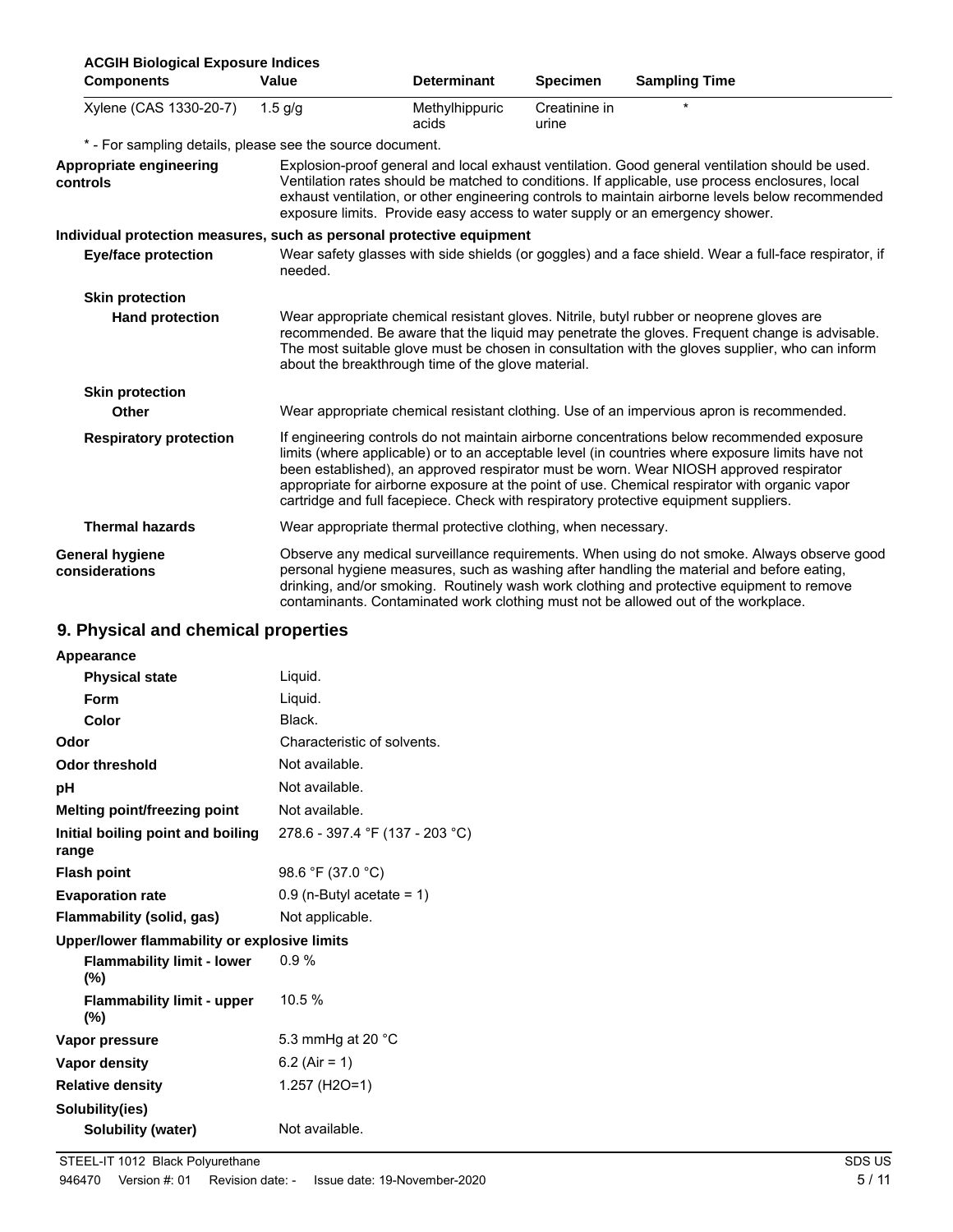| <b>ACGIH Biological Exposure Indices</b>                              |           |                                                               |                        |                                                                                                                                                                                                                                                                                                                                                                                                                                                                                   |  |
|-----------------------------------------------------------------------|-----------|---------------------------------------------------------------|------------------------|-----------------------------------------------------------------------------------------------------------------------------------------------------------------------------------------------------------------------------------------------------------------------------------------------------------------------------------------------------------------------------------------------------------------------------------------------------------------------------------|--|
| <b>Components</b>                                                     | Value     | <b>Determinant</b>                                            | <b>Specimen</b>        | <b>Sampling Time</b>                                                                                                                                                                                                                                                                                                                                                                                                                                                              |  |
| Xylene (CAS 1330-20-7)                                                | $1.5$ g/g | Methylhippuric<br>acids                                       | Creatinine in<br>urine | $\star$                                                                                                                                                                                                                                                                                                                                                                                                                                                                           |  |
| * - For sampling details, please see the source document.             |           |                                                               |                        |                                                                                                                                                                                                                                                                                                                                                                                                                                                                                   |  |
| Appropriate engineering<br>controls                                   |           |                                                               |                        | Explosion-proof general and local exhaust ventilation. Good general ventilation should be used.<br>Ventilation rates should be matched to conditions. If applicable, use process enclosures, local<br>exhaust ventilation, or other engineering controls to maintain airborne levels below recommended<br>exposure limits. Provide easy access to water supply or an emergency shower.                                                                                            |  |
| Individual protection measures, such as personal protective equipment |           |                                                               |                        |                                                                                                                                                                                                                                                                                                                                                                                                                                                                                   |  |
| <b>Eye/face protection</b>                                            | needed.   |                                                               |                        | Wear safety glasses with side shields (or goggles) and a face shield. Wear a full-face respirator, if                                                                                                                                                                                                                                                                                                                                                                             |  |
| <b>Skin protection</b>                                                |           |                                                               |                        |                                                                                                                                                                                                                                                                                                                                                                                                                                                                                   |  |
| <b>Hand protection</b>                                                |           | about the breakthrough time of the glove material.            |                        | Wear appropriate chemical resistant gloves. Nitrile, butyl rubber or neoprene gloves are<br>recommended. Be aware that the liquid may penetrate the gloves. Frequent change is advisable.<br>The most suitable glove must be chosen in consultation with the gloves supplier, who can inform                                                                                                                                                                                      |  |
| <b>Skin protection</b>                                                |           |                                                               |                        |                                                                                                                                                                                                                                                                                                                                                                                                                                                                                   |  |
| Other                                                                 |           |                                                               |                        | Wear appropriate chemical resistant clothing. Use of an impervious apron is recommended.                                                                                                                                                                                                                                                                                                                                                                                          |  |
| <b>Respiratory protection</b>                                         |           |                                                               |                        | If engineering controls do not maintain airborne concentrations below recommended exposure<br>limits (where applicable) or to an acceptable level (in countries where exposure limits have not<br>been established), an approved respirator must be worn. Wear NIOSH approved respirator<br>appropriate for airborne exposure at the point of use. Chemical respirator with organic vapor<br>cartridge and full facepiece. Check with respiratory protective equipment suppliers. |  |
| <b>Thermal hazards</b>                                                |           | Wear appropriate thermal protective clothing, when necessary. |                        |                                                                                                                                                                                                                                                                                                                                                                                                                                                                                   |  |
| <b>General hygiene</b><br>considerations                              |           |                                                               |                        | Observe any medical surveillance requirements. When using do not smoke. Always observe good<br>personal hygiene measures, such as washing after handling the material and before eating,<br>drinking, and/or smoking. Routinely wash work clothing and protective equipment to remove<br>contaminants. Contaminated work clothing must not be allowed out of the workplace.                                                                                                       |  |

### **9. Physical and chemical properties**

| Appearance                                   |                                 |
|----------------------------------------------|---------------------------------|
| <b>Physical state</b>                        | Liquid.                         |
| <b>Form</b>                                  | Liguid.                         |
| Color                                        | Black.                          |
| Odor                                         | Characteristic of solvents.     |
| Odor threshold                               | Not available.                  |
| рH                                           | Not available.                  |
| Melting point/freezing point                 | Not available.                  |
| Initial boiling point and boiling<br>range   | 278.6 - 397.4 °F (137 - 203 °C) |
| <b>Flash point</b>                           | 98.6 °F (37.0 °C)               |
| <b>Evaporation rate</b>                      | $0.9$ (n-Butyl acetate = 1)     |
| Flammability (solid, gas)                    | Not applicable.                 |
| Upper/lower flammability or explosive limits |                                 |
| <b>Flammability limit - lower</b><br>$(\% )$ | $0.9\%$                         |
| <b>Flammability limit - upper</b><br>$(\% )$ | 10.5%                           |
| Vapor pressure                               | 5.3 mmHg at 20 $^{\circ}$ C     |
| Vapor density                                | 6.2 (Air = 1)                   |
| <b>Relative density</b>                      | 1.257 (H2O=1)                   |
| Solubility(ies)                              |                                 |
| Solubility (water)                           | Not available.                  |
|                                              |                                 |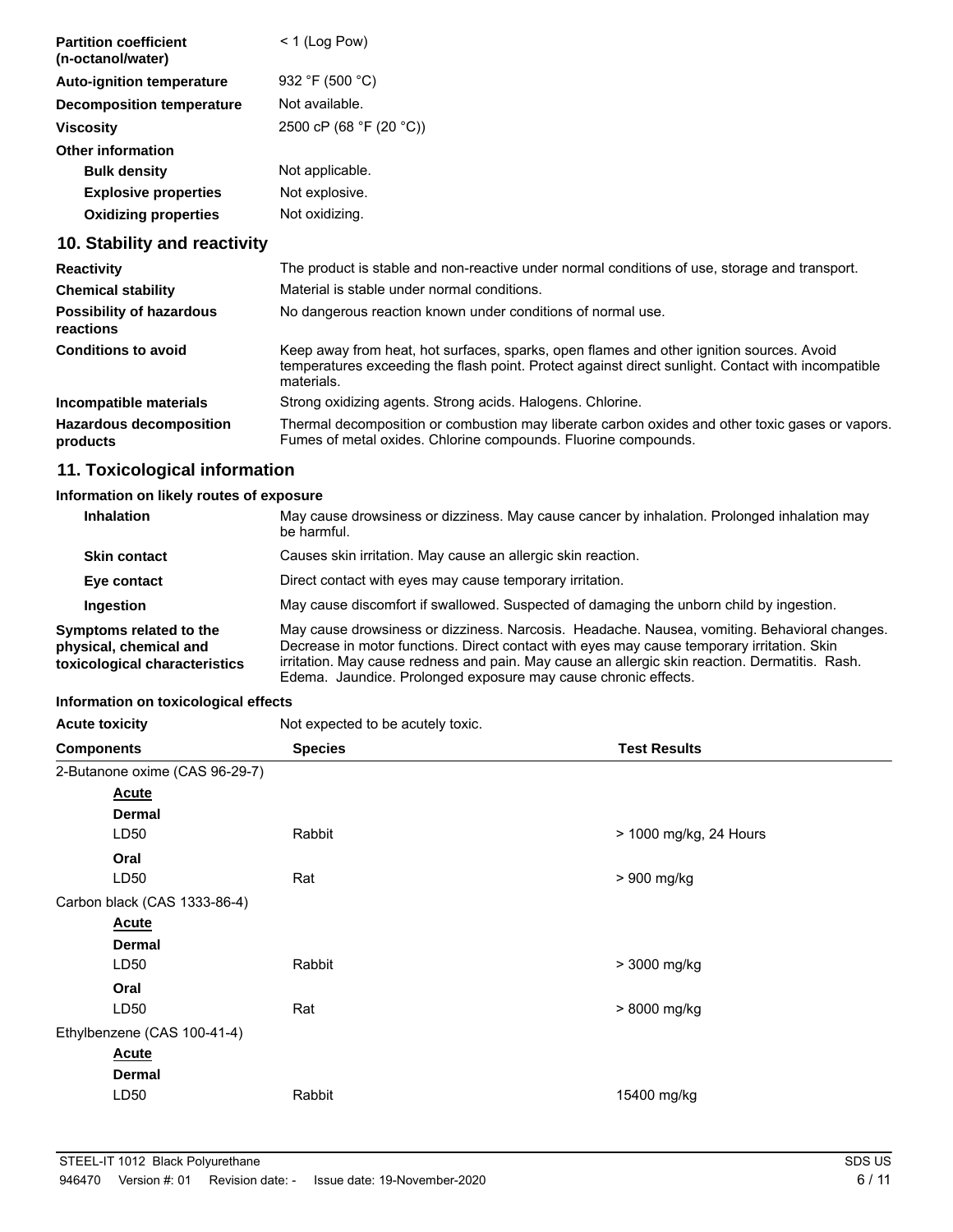| <b>Partition coefficient</b><br>(n-octanol/water) | $<$ 1 (Log Pow)         |
|---------------------------------------------------|-------------------------|
| <b>Auto-ignition temperature</b>                  | 932 °F (500 °C)         |
| <b>Decomposition temperature</b>                  | Not available.          |
| <b>Viscosity</b>                                  | 2500 cP (68 °F (20 °C)) |
| Other information                                 |                         |
| <b>Bulk density</b>                               | Not applicable.         |
| <b>Explosive properties</b>                       | Not explosive.          |
| <b>Oxidizing properties</b>                       | Not oxidizing.          |

### **10. Stability and reactivity**

| <b>Reactivity</b>                            | The product is stable and non-reactive under normal conditions of use, storage and transport.                                                                                                                |
|----------------------------------------------|--------------------------------------------------------------------------------------------------------------------------------------------------------------------------------------------------------------|
| <b>Chemical stability</b>                    | Material is stable under normal conditions.                                                                                                                                                                  |
| <b>Possibility of hazardous</b><br>reactions | No dangerous reaction known under conditions of normal use.                                                                                                                                                  |
| <b>Conditions to avoid</b>                   | Keep away from heat, hot surfaces, sparks, open flames and other ignition sources. Avoid<br>temperatures exceeding the flash point. Protect against direct sunlight. Contact with incompatible<br>materials. |
| Incompatible materials                       | Strong oxidizing agents. Strong acids. Halogens. Chlorine.                                                                                                                                                   |
| <b>Hazardous decomposition</b><br>products   | Thermal decomposition or combustion may liberate carbon oxides and other toxic gases or vapors.<br>Fumes of metal oxides. Chlorine compounds. Fluorine compounds.                                            |

### **11. Toxicological information**

#### **Information on likely routes of exposure**

| <b>Inhalation</b>                                                                  | May cause drowsiness or dizziness. May cause cancer by inhalation. Prolonged inhalation may<br>be harmful.                                                                                                                                                                                                                                                     |
|------------------------------------------------------------------------------------|----------------------------------------------------------------------------------------------------------------------------------------------------------------------------------------------------------------------------------------------------------------------------------------------------------------------------------------------------------------|
| <b>Skin contact</b>                                                                | Causes skin irritation. May cause an allergic skin reaction.                                                                                                                                                                                                                                                                                                   |
| Eye contact                                                                        | Direct contact with eyes may cause temporary irritation.                                                                                                                                                                                                                                                                                                       |
| Ingestion                                                                          | May cause discomfort if swallowed. Suspected of damaging the unborn child by ingestion.                                                                                                                                                                                                                                                                        |
| Symptoms related to the<br>physical, chemical and<br>toxicological characteristics | May cause drowsiness or dizziness. Narcosis. Headache. Nausea, vomiting. Behavioral changes.<br>Decrease in motor functions. Direct contact with eyes may cause temporary irritation. Skin<br>irritation. May cause redness and pain. May cause an allergic skin reaction. Dermatitis. Rash.<br>Edema. Jaundice. Prolonged exposure may cause chronic effects. |

#### **Information on toxicological effects**

| <b>Acute toxicity</b>          | Not expected to be acutely toxic. |                        |
|--------------------------------|-----------------------------------|------------------------|
| <b>Components</b>              | <b>Species</b>                    | <b>Test Results</b>    |
| 2-Butanone oxime (CAS 96-29-7) |                                   |                        |
| <b>Acute</b>                   |                                   |                        |
| <b>Dermal</b>                  |                                   |                        |
| LD <sub>50</sub>               | Rabbit                            | > 1000 mg/kg, 24 Hours |
| Oral                           |                                   |                        |
| LD50                           | Rat                               | > 900 mg/kg            |
| Carbon black (CAS 1333-86-4)   |                                   |                        |
| <b>Acute</b>                   |                                   |                        |
| <b>Dermal</b>                  |                                   |                        |
| LD50                           | Rabbit                            | > 3000 mg/kg           |
| Oral                           |                                   |                        |
| LD50                           | Rat                               | > 8000 mg/kg           |
| Ethylbenzene (CAS 100-41-4)    |                                   |                        |
| <b>Acute</b>                   |                                   |                        |
| <b>Dermal</b>                  |                                   |                        |
| LD50                           | Rabbit                            | 15400 mg/kg            |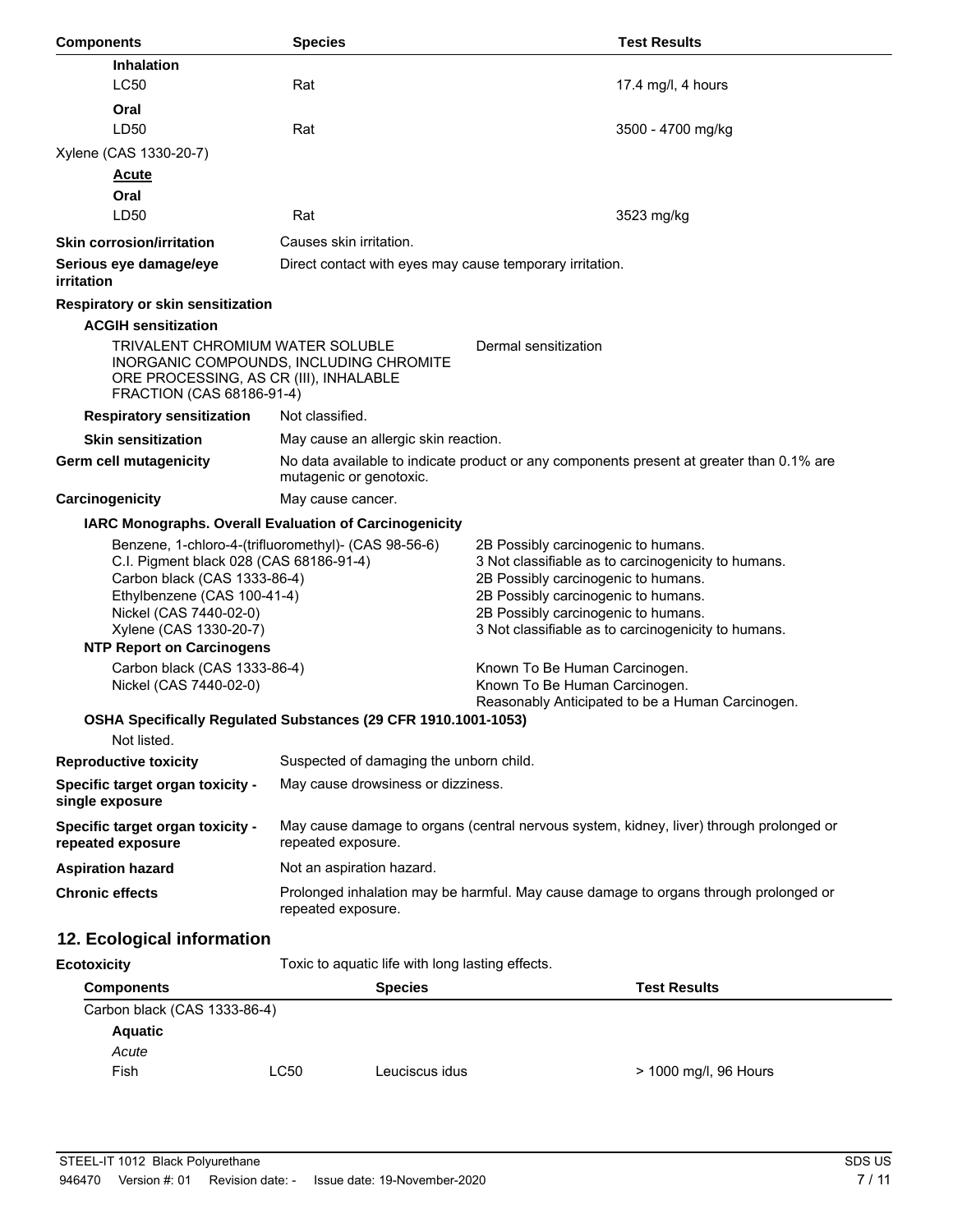| <b>Components</b>                                                                                                                                                                                                                                      | <b>Species</b>                                                                                                      | <b>Test Results</b>                                                                                                                                                                                                                                                    |  |
|--------------------------------------------------------------------------------------------------------------------------------------------------------------------------------------------------------------------------------------------------------|---------------------------------------------------------------------------------------------------------------------|------------------------------------------------------------------------------------------------------------------------------------------------------------------------------------------------------------------------------------------------------------------------|--|
| <b>Inhalation</b>                                                                                                                                                                                                                                      |                                                                                                                     |                                                                                                                                                                                                                                                                        |  |
| LC50                                                                                                                                                                                                                                                   | Rat                                                                                                                 | 17.4 mg/l, 4 hours                                                                                                                                                                                                                                                     |  |
| Oral                                                                                                                                                                                                                                                   |                                                                                                                     |                                                                                                                                                                                                                                                                        |  |
| LD50                                                                                                                                                                                                                                                   | Rat                                                                                                                 | 3500 - 4700 mg/kg                                                                                                                                                                                                                                                      |  |
| Xylene (CAS 1330-20-7)                                                                                                                                                                                                                                 |                                                                                                                     |                                                                                                                                                                                                                                                                        |  |
| <b>Acute</b>                                                                                                                                                                                                                                           |                                                                                                                     |                                                                                                                                                                                                                                                                        |  |
| Oral                                                                                                                                                                                                                                                   |                                                                                                                     |                                                                                                                                                                                                                                                                        |  |
| LD50                                                                                                                                                                                                                                                   | Rat                                                                                                                 | 3523 mg/kg                                                                                                                                                                                                                                                             |  |
| <b>Skin corrosion/irritation</b>                                                                                                                                                                                                                       | Causes skin irritation.                                                                                             |                                                                                                                                                                                                                                                                        |  |
| Serious eye damage/eye<br>irritation                                                                                                                                                                                                                   | Direct contact with eyes may cause temporary irritation.                                                            |                                                                                                                                                                                                                                                                        |  |
| Respiratory or skin sensitization                                                                                                                                                                                                                      |                                                                                                                     |                                                                                                                                                                                                                                                                        |  |
| <b>ACGIH sensitization</b>                                                                                                                                                                                                                             |                                                                                                                     |                                                                                                                                                                                                                                                                        |  |
| <b>TRIVALENT CHROMIUM WATER SOLUBLE</b><br>Dermal sensitization<br>INORGANIC COMPOUNDS, INCLUDING CHROMITE<br>ORE PROCESSING, AS CR (III), INHALABLE<br>FRACTION (CAS 68186-91-4)                                                                      |                                                                                                                     |                                                                                                                                                                                                                                                                        |  |
| <b>Respiratory sensitization</b>                                                                                                                                                                                                                       | Not classified.                                                                                                     |                                                                                                                                                                                                                                                                        |  |
| <b>Skin sensitization</b>                                                                                                                                                                                                                              | May cause an allergic skin reaction.                                                                                |                                                                                                                                                                                                                                                                        |  |
| Germ cell mutagenicity                                                                                                                                                                                                                                 | No data available to indicate product or any components present at greater than 0.1% are<br>mutagenic or genotoxic. |                                                                                                                                                                                                                                                                        |  |
| Carcinogenicity                                                                                                                                                                                                                                        | May cause cancer.                                                                                                   |                                                                                                                                                                                                                                                                        |  |
|                                                                                                                                                                                                                                                        | IARC Monographs. Overall Evaluation of Carcinogenicity                                                              |                                                                                                                                                                                                                                                                        |  |
| Benzene, 1-chloro-4-(trifluoromethyl)- (CAS 98-56-6)<br>C.I. Pigment black 028 (CAS 68186-91-4)<br>Carbon black (CAS 1333-86-4)<br>Ethylbenzene (CAS 100-41-4)<br>Nickel (CAS 7440-02-0)<br>Xylene (CAS 1330-20-7)<br><b>NTP Report on Carcinogens</b> |                                                                                                                     | 2B Possibly carcinogenic to humans.<br>3 Not classifiable as to carcinogenicity to humans.<br>2B Possibly carcinogenic to humans.<br>2B Possibly carcinogenic to humans.<br>2B Possibly carcinogenic to humans.<br>3 Not classifiable as to carcinogenicity to humans. |  |
| Carbon black (CAS 1333-86-4)<br>Nickel (CAS 7440-02-0)                                                                                                                                                                                                 |                                                                                                                     | Known To Be Human Carcinogen.<br>Known To Be Human Carcinogen.                                                                                                                                                                                                         |  |
|                                                                                                                                                                                                                                                        | OSHA Specifically Regulated Substances (29 CFR 1910.1001-1053)                                                      | Reasonably Anticipated to be a Human Carcinogen.                                                                                                                                                                                                                       |  |
| Not listed.                                                                                                                                                                                                                                            |                                                                                                                     |                                                                                                                                                                                                                                                                        |  |
| <b>Reproductive toxicity</b>                                                                                                                                                                                                                           | Suspected of damaging the unborn child.                                                                             |                                                                                                                                                                                                                                                                        |  |
| Specific target organ toxicity -<br>single exposure                                                                                                                                                                                                    | May cause drowsiness or dizziness.                                                                                  |                                                                                                                                                                                                                                                                        |  |
| Specific target organ toxicity -<br>repeated exposure                                                                                                                                                                                                  | May cause damage to organs (central nervous system, kidney, liver) through prolonged or<br>repeated exposure.       |                                                                                                                                                                                                                                                                        |  |
| <b>Aspiration hazard</b>                                                                                                                                                                                                                               | Not an aspiration hazard.                                                                                           |                                                                                                                                                                                                                                                                        |  |
| <b>Chronic effects</b>                                                                                                                                                                                                                                 | Prolonged inhalation may be harmful. May cause damage to organs through prolonged or<br>repeated exposure.          |                                                                                                                                                                                                                                                                        |  |
| 12. Ecological information                                                                                                                                                                                                                             |                                                                                                                     |                                                                                                                                                                                                                                                                        |  |
| <b>Ecotoxicity</b>                                                                                                                                                                                                                                     | Toxic to aquatic life with long lasting effects.                                                                    |                                                                                                                                                                                                                                                                        |  |
| <b>Components</b>                                                                                                                                                                                                                                      | <b>Species</b>                                                                                                      | <b>Test Results</b>                                                                                                                                                                                                                                                    |  |
| Carbon black (CAS 1333-86-4)                                                                                                                                                                                                                           |                                                                                                                     |                                                                                                                                                                                                                                                                        |  |
| <b>Aquatic</b>                                                                                                                                                                                                                                         |                                                                                                                     |                                                                                                                                                                                                                                                                        |  |
| Acute                                                                                                                                                                                                                                                  |                                                                                                                     |                                                                                                                                                                                                                                                                        |  |

Fish LC50 Leuciscus idus > 1000 mg/l, 96 Hours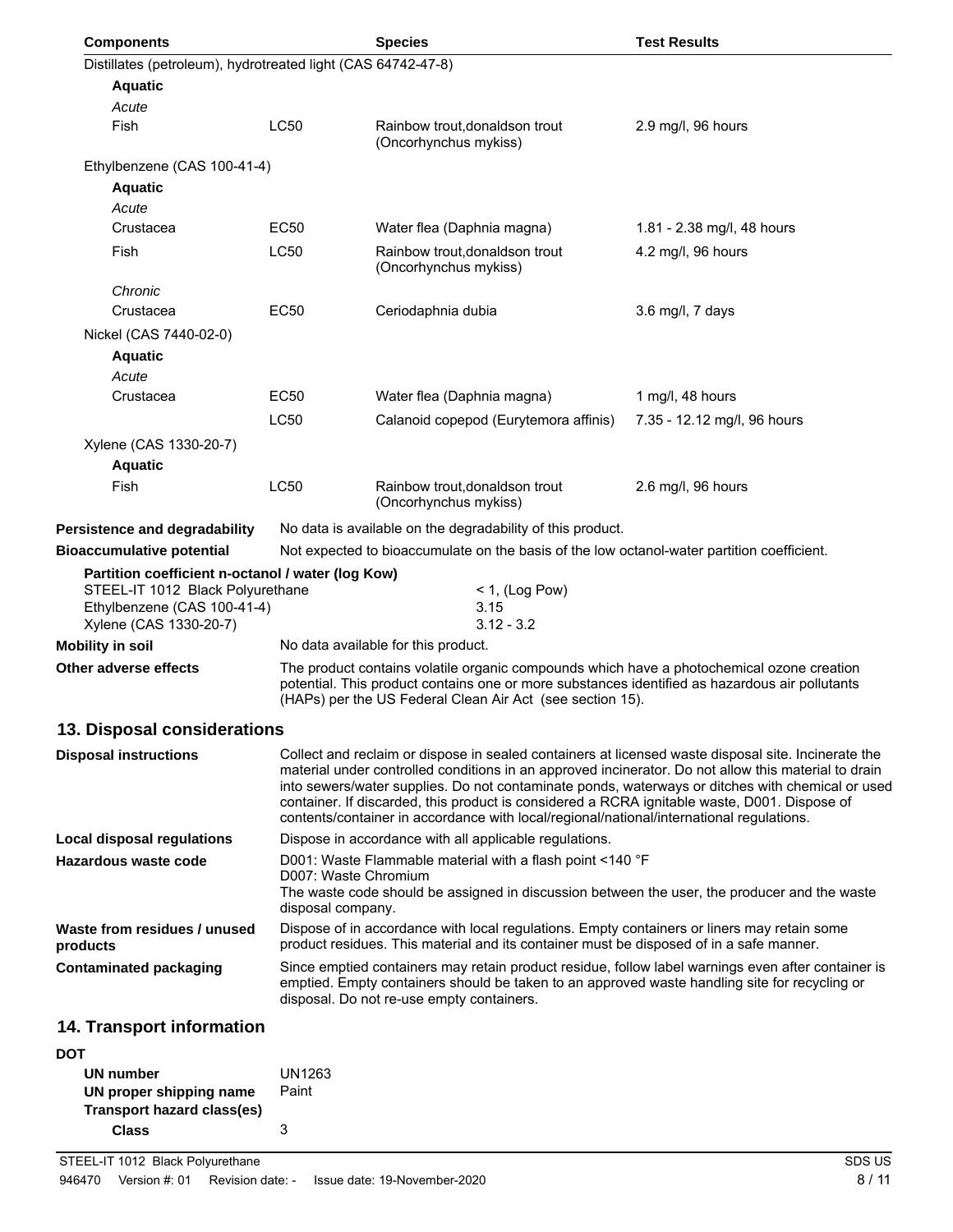| <b>Components</b>                                            |                                                                                                                                                                                                                                                          | <b>Species</b>                                                                                                                                                                                                                                                                                                                                                                                                                                                                                              | <b>Test Results</b>         |
|--------------------------------------------------------------|----------------------------------------------------------------------------------------------------------------------------------------------------------------------------------------------------------------------------------------------------------|-------------------------------------------------------------------------------------------------------------------------------------------------------------------------------------------------------------------------------------------------------------------------------------------------------------------------------------------------------------------------------------------------------------------------------------------------------------------------------------------------------------|-----------------------------|
| Distillates (petroleum), hydrotreated light (CAS 64742-47-8) |                                                                                                                                                                                                                                                          |                                                                                                                                                                                                                                                                                                                                                                                                                                                                                                             |                             |
| <b>Aquatic</b>                                               |                                                                                                                                                                                                                                                          |                                                                                                                                                                                                                                                                                                                                                                                                                                                                                                             |                             |
| Acute                                                        |                                                                                                                                                                                                                                                          |                                                                                                                                                                                                                                                                                                                                                                                                                                                                                                             |                             |
| Fish                                                         | <b>LC50</b>                                                                                                                                                                                                                                              | Rainbow trout, donaldson trout<br>(Oncorhynchus mykiss)                                                                                                                                                                                                                                                                                                                                                                                                                                                     | 2.9 mg/l, 96 hours          |
| Ethylbenzene (CAS 100-41-4)                                  |                                                                                                                                                                                                                                                          |                                                                                                                                                                                                                                                                                                                                                                                                                                                                                                             |                             |
| <b>Aquatic</b>                                               |                                                                                                                                                                                                                                                          |                                                                                                                                                                                                                                                                                                                                                                                                                                                                                                             |                             |
| Acute                                                        |                                                                                                                                                                                                                                                          |                                                                                                                                                                                                                                                                                                                                                                                                                                                                                                             |                             |
| Crustacea                                                    | <b>EC50</b>                                                                                                                                                                                                                                              | Water flea (Daphnia magna)                                                                                                                                                                                                                                                                                                                                                                                                                                                                                  | 1.81 - 2.38 mg/l, 48 hours  |
| Fish                                                         | <b>LC50</b>                                                                                                                                                                                                                                              | Rainbow trout, donaldson trout<br>(Oncorhynchus mykiss)                                                                                                                                                                                                                                                                                                                                                                                                                                                     | 4.2 mg/l, 96 hours          |
| Chronic                                                      |                                                                                                                                                                                                                                                          |                                                                                                                                                                                                                                                                                                                                                                                                                                                                                                             |                             |
| Crustacea                                                    | EC50                                                                                                                                                                                                                                                     | Ceriodaphnia dubia                                                                                                                                                                                                                                                                                                                                                                                                                                                                                          | 3.6 mg/l, 7 days            |
| Nickel (CAS 7440-02-0)                                       |                                                                                                                                                                                                                                                          |                                                                                                                                                                                                                                                                                                                                                                                                                                                                                                             |                             |
| <b>Aquatic</b>                                               |                                                                                                                                                                                                                                                          |                                                                                                                                                                                                                                                                                                                                                                                                                                                                                                             |                             |
| Acute                                                        |                                                                                                                                                                                                                                                          |                                                                                                                                                                                                                                                                                                                                                                                                                                                                                                             |                             |
| Crustacea                                                    | EC50                                                                                                                                                                                                                                                     | Water flea (Daphnia magna)                                                                                                                                                                                                                                                                                                                                                                                                                                                                                  | 1 mg/l, 48 hours            |
|                                                              | <b>LC50</b>                                                                                                                                                                                                                                              | Calanoid copepod (Eurytemora affinis)                                                                                                                                                                                                                                                                                                                                                                                                                                                                       | 7.35 - 12.12 mg/l, 96 hours |
| Xylene (CAS 1330-20-7)                                       |                                                                                                                                                                                                                                                          |                                                                                                                                                                                                                                                                                                                                                                                                                                                                                                             |                             |
| <b>Aquatic</b>                                               |                                                                                                                                                                                                                                                          |                                                                                                                                                                                                                                                                                                                                                                                                                                                                                                             |                             |
| Fish                                                         | <b>LC50</b>                                                                                                                                                                                                                                              | Rainbow trout, donaldson trout<br>(Oncorhynchus mykiss)                                                                                                                                                                                                                                                                                                                                                                                                                                                     | 2.6 mg/l, 96 hours          |
| Persistence and degradability                                |                                                                                                                                                                                                                                                          | No data is available on the degradability of this product.                                                                                                                                                                                                                                                                                                                                                                                                                                                  |                             |
| <b>Bioaccumulative potential</b>                             |                                                                                                                                                                                                                                                          | Not expected to bioaccumulate on the basis of the low octanol-water partition coefficient.                                                                                                                                                                                                                                                                                                                                                                                                                  |                             |
| Partition coefficient n-octanol / water (log Kow)            |                                                                                                                                                                                                                                                          |                                                                                                                                                                                                                                                                                                                                                                                                                                                                                                             |                             |
| STEEL-IT 1012 Black Polyurethane                             |                                                                                                                                                                                                                                                          | $<$ 1, (Log Pow)                                                                                                                                                                                                                                                                                                                                                                                                                                                                                            |                             |
| Ethylbenzene (CAS 100-41-4)                                  |                                                                                                                                                                                                                                                          | 3.15<br>$3.12 - 3.2$                                                                                                                                                                                                                                                                                                                                                                                                                                                                                        |                             |
| Xylene (CAS 1330-20-7)<br>Mobility in soil                   |                                                                                                                                                                                                                                                          |                                                                                                                                                                                                                                                                                                                                                                                                                                                                                                             |                             |
|                                                              | No data available for this product.                                                                                                                                                                                                                      |                                                                                                                                                                                                                                                                                                                                                                                                                                                                                                             |                             |
| Other adverse effects                                        | The product contains volatile organic compounds which have a photochemical ozone creation<br>potential. This product contains one or more substances identified as hazardous air pollutants<br>(HAPs) per the US Federal Clean Air Act (see section 15). |                                                                                                                                                                                                                                                                                                                                                                                                                                                                                                             |                             |
| 13. Disposal considerations                                  |                                                                                                                                                                                                                                                          |                                                                                                                                                                                                                                                                                                                                                                                                                                                                                                             |                             |
| <b>Disposal instructions</b>                                 |                                                                                                                                                                                                                                                          | Collect and reclaim or dispose in sealed containers at licensed waste disposal site. Incinerate the<br>material under controlled conditions in an approved incinerator. Do not allow this material to drain<br>into sewers/water supplies. Do not contaminate ponds, waterways or ditches with chemical or used<br>container. If discarded, this product is considered a RCRA ignitable waste, D001. Dispose of<br>contents/container in accordance with local/regional/national/international regulations. |                             |
| <b>Local disposal regulations</b>                            | Dispose in accordance with all applicable regulations.                                                                                                                                                                                                   |                                                                                                                                                                                                                                                                                                                                                                                                                                                                                                             |                             |
| Hazardous waste code                                         | D001: Waste Flammable material with a flash point <140 °F<br>D007: Waste Chromium                                                                                                                                                                        |                                                                                                                                                                                                                                                                                                                                                                                                                                                                                                             |                             |
|                                                              |                                                                                                                                                                                                                                                          | The waste code should be assigned in discussion between the user, the producer and the waste                                                                                                                                                                                                                                                                                                                                                                                                                |                             |
| Waste from residues / unused<br>products                     | disposal company.<br>Dispose of in accordance with local regulations. Empty containers or liners may retain some<br>product residues. This material and its container must be disposed of in a safe manner.                                              |                                                                                                                                                                                                                                                                                                                                                                                                                                                                                                             |                             |
| <b>Contaminated packaging</b>                                | Since emptied containers may retain product residue, follow label warnings even after container is<br>emptied. Empty containers should be taken to an approved waste handling site for recycling or<br>disposal. Do not re-use empty containers.         |                                                                                                                                                                                                                                                                                                                                                                                                                                                                                                             |                             |

### **14. Transport information**

| DOT                        |        |
|----------------------------|--------|
| UN number                  | UN1263 |
| UN proper shipping name    | Paint  |
| Transport hazard class(es) |        |
| Class                      | 3      |
|                            |        |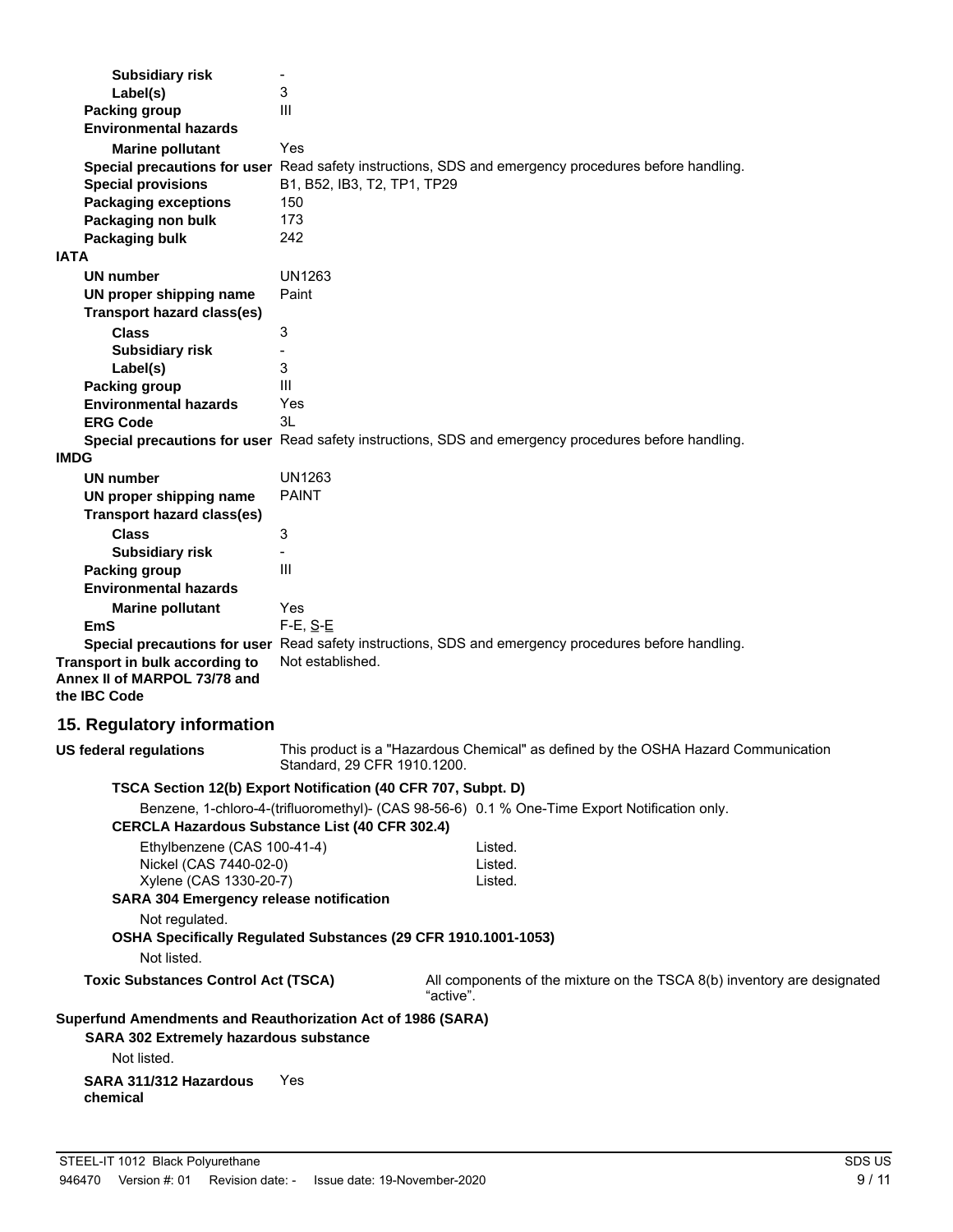| <b>Subsidiary risk</b><br>Label(s)<br><b>Packing group</b>                                                                        | $\overline{\phantom{a}}$<br>3<br>III                                                                                                                   |
|-----------------------------------------------------------------------------------------------------------------------------------|--------------------------------------------------------------------------------------------------------------------------------------------------------|
| <b>Environmental hazards</b>                                                                                                      |                                                                                                                                                        |
| <b>Marine pollutant</b><br><b>Special provisions</b><br><b>Packaging exceptions</b>                                               | Yes<br>Special precautions for user Read safety instructions, SDS and emergency procedures before handling.<br>B1, B52, IB3, T2, TP1, TP29<br>150      |
| Packaging non bulk                                                                                                                | 173                                                                                                                                                    |
| Packaging bulk<br><b>IATA</b>                                                                                                     | 242                                                                                                                                                    |
| <b>UN number</b>                                                                                                                  | <b>UN1263</b>                                                                                                                                          |
| UN proper shipping name                                                                                                           | Paint                                                                                                                                                  |
| <b>Transport hazard class(es)</b>                                                                                                 |                                                                                                                                                        |
| <b>Class</b>                                                                                                                      | 3                                                                                                                                                      |
| <b>Subsidiary risk</b>                                                                                                            |                                                                                                                                                        |
| Label(s)                                                                                                                          | 3                                                                                                                                                      |
| <b>Packing group</b>                                                                                                              | Ш                                                                                                                                                      |
| <b>Environmental hazards</b>                                                                                                      | Yes                                                                                                                                                    |
| <b>ERG Code</b>                                                                                                                   | 3L                                                                                                                                                     |
| <b>IMDG</b>                                                                                                                       | Special precautions for user Read safety instructions, SDS and emergency procedures before handling.                                                   |
| <b>UN number</b>                                                                                                                  | <b>UN1263</b>                                                                                                                                          |
| UN proper shipping name                                                                                                           | <b>PAINT</b>                                                                                                                                           |
| <b>Transport hazard class(es)</b>                                                                                                 |                                                                                                                                                        |
| <b>Class</b>                                                                                                                      | 3                                                                                                                                                      |
| <b>Subsidiary risk</b>                                                                                                            |                                                                                                                                                        |
| <b>Packing group</b>                                                                                                              | III                                                                                                                                                    |
| <b>Environmental hazards</b>                                                                                                      |                                                                                                                                                        |
| <b>Marine pollutant</b>                                                                                                           | Yes                                                                                                                                                    |
| EmS                                                                                                                               | $F-E$ , $S-E$                                                                                                                                          |
| Transport in bulk according to<br>Annex II of MARPOL 73/78 and<br>the IBC Code                                                    | Special precautions for user Read safety instructions, SDS and emergency procedures before handling.<br>Not established.                               |
| 15. Regulatory information                                                                                                        |                                                                                                                                                        |
| <b>US federal regulations</b>                                                                                                     | This product is a "Hazardous Chemical" as defined by the OSHA Hazard Communication<br>Standard, 29 CFR 1910.1200.                                      |
|                                                                                                                                   | TSCA Section 12(b) Export Notification (40 CFR 707, Subpt. D)                                                                                          |
|                                                                                                                                   | Benzene, 1-chloro-4-(trifluoromethyl)- (CAS 98-56-6) 0.1 % One-Time Export Notification only.<br><b>CERCLA Hazardous Substance List (40 CFR 302.4)</b> |
| Ethylbenzene (CAS 100-41-4)<br>Nickel (CAS 7440-02-0)<br>Xylene (CAS 1330-20-7)<br><b>SARA 304 Emergency release notification</b> | Listed.<br>Listed.<br>Listed.                                                                                                                          |
| Not regulated.                                                                                                                    |                                                                                                                                                        |
| Not listed.                                                                                                                       | OSHA Specifically Regulated Substances (29 CFR 1910.1001-1053)                                                                                         |
| <b>Toxic Substances Control Act (TSCA)</b>                                                                                        | All components of the mixture on the TSCA 8(b) inventory are designated                                                                                |
| Superfund Amendments and Reauthorization Act of 1986 (SARA)                                                                       | "active".                                                                                                                                              |
| <b>SARA 302 Extremely hazardous substance</b><br>Not listed.                                                                      |                                                                                                                                                        |
| SARA 311/312 Hazardous<br>chemical                                                                                                | Yes                                                                                                                                                    |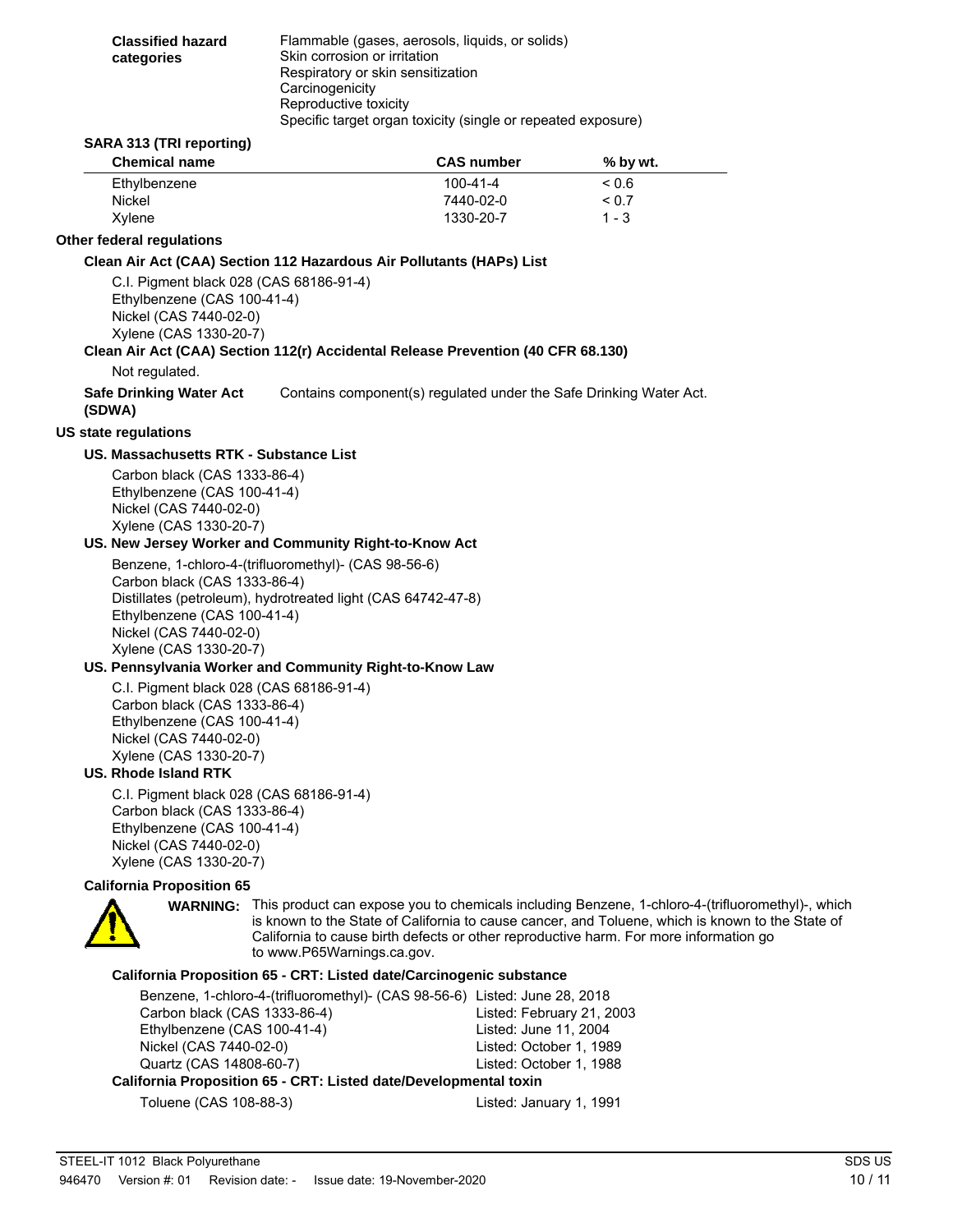| <b>Classified hazard</b><br>categories | Flammable (gases, aerosols, liquids, or solids)<br>Skin corrosion or irritation<br>Respiratory or skin sensitization |
|----------------------------------------|----------------------------------------------------------------------------------------------------------------------|
|                                        | Carcinogenicity<br>Reproductive toxicity<br>Specific target organ toxicity (single or repeated exposure)             |

#### **SARA 313 (TRI reporting)**

| <b>Chemical name</b> | <b>CAS</b> number | % by wt.   |  |
|----------------------|-------------------|------------|--|
| Ethylbenzene         | $100 - 41 - 4$    | 0.6        |  |
| Nickel               | 7440-02-0         | ${}_{0.7}$ |  |
| Xvlene               | 1330-20-7         | $1 - 3$    |  |

#### **Other federal regulations**

#### **Clean Air Act (CAA) Section 112 Hazardous Air Pollutants (HAPs) List**

C.I. Pigment black 028 (CAS 68186-91-4) Ethylbenzene (CAS 100-41-4) Nickel (CAS 7440-02-0) Xylene (CAS 1330-20-7)

#### **Clean Air Act (CAA) Section 112(r) Accidental Release Prevention (40 CFR 68.130)**

Not regulated.

**Safe Drinking Water Act** Contains component(s) regulated under the Safe Drinking Water Act.

### **(SDWA)**

**US state regulations**

#### **US. Massachusetts RTK - Substance List**

Carbon black (CAS 1333-86-4) Ethylbenzene (CAS 100-41-4) Nickel (CAS 7440-02-0) Xylene (CAS 1330-20-7)

#### **US. New Jersey Worker and Community Right-to-Know Act**

Benzene, 1-chloro-4-(trifluoromethyl)- (CAS 98-56-6) Carbon black (CAS 1333-86-4) Distillates (petroleum), hydrotreated light (CAS 64742-47-8) Ethylbenzene (CAS 100-41-4) Nickel (CAS 7440-02-0) Xylene (CAS 1330-20-7)

#### **US. Pennsylvania Worker and Community Right-to-Know Law**

C.I. Pigment black 028 (CAS 68186-91-4) Carbon black (CAS 1333-86-4) Ethylbenzene (CAS 100-41-4) Nickel (CAS 7440-02-0) Xylene (CAS 1330-20-7)

### **US. Rhode Island RTK**

C.I. Pigment black 028 (CAS 68186-91-4) Carbon black (CAS 1333-86-4) Ethylbenzene (CAS 100-41-4) Nickel (CAS 7440-02-0) Xylene (CAS 1330-20-7)

#### **California Proposition 65**



WARNING: This product can expose you to chemicals including Benzene, 1-chloro-4-(trifluoromethyl)-, which is known to the State of California to cause cancer, and Toluene, which is known to the State of California to cause birth defects or other reproductive harm. For more information go to www.P65Warnings.ca.gov.

### **California Proposition 65 - CRT: Listed date/Carcinogenic substance**

| Benzene, 1-chloro-4-(trifluoromethyl)- (CAS 98-56-6) Listed: June 28, 2018 |                           |  |
|----------------------------------------------------------------------------|---------------------------|--|
| Carbon black (CAS 1333-86-4)                                               | Listed: February 21, 2003 |  |
| Ethylbenzene (CAS 100-41-4)                                                | Listed: June 11, 2004     |  |
| Nickel (CAS 7440-02-0)                                                     | Listed: October 1, 1989   |  |
| Quartz (CAS 14808-60-7)                                                    | Listed: October 1, 1988   |  |
| California Proposition 65 - CRT: Listed date/Developmental toxin           |                           |  |

Toluene (CAS 108-88-3) Listed: January 1, 1991